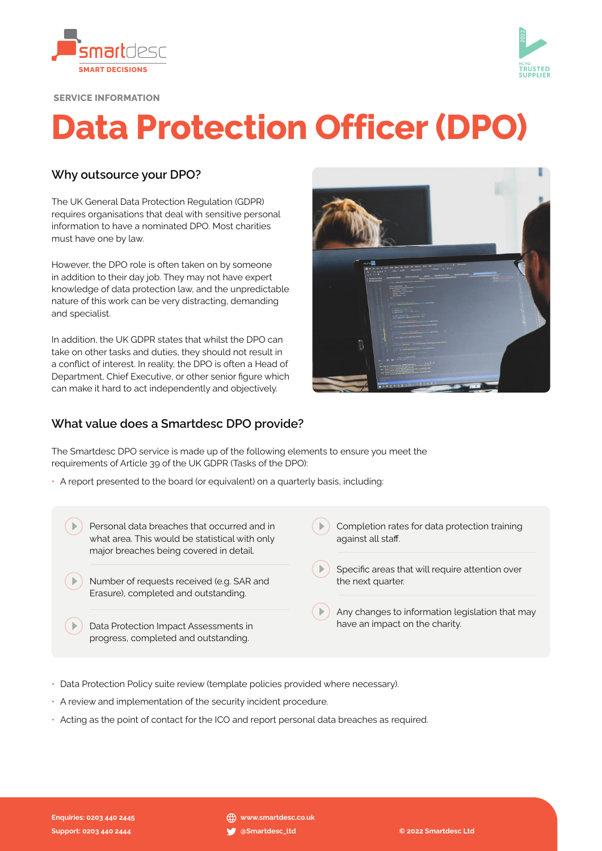



SERVICE INFORMATION

# Data Protection Officer (DPO)

## Why outsource your DPO?

The UK General Data Protection Regulation (GDPR) requires organisations that deal with sensitive personal information to have a nominated DPO. Most charities must have one by law.

However, the DPO role is often taken on by someone in addition to their day job. They may not have expert knowledge of data protection law, and the unpredictable nature of this work can be very distracting, demanding and specialist.

In addition, the UK GDPR states that whilst the DPO can take on other tasks and duties, they should not result in a conflict of interest. In reality, the DPO is often a Head of Department, Chief Executive, or other senior figure which can make it hard to act independently and objectively.



#### What value does a Smartdesc DPO provide?

The Smartdesc DPO service is made up of the following elements to ensure you meet the requirements of Article 39 of the UK GDPR (Tasks of the DPO):

- A report presented to the board (or equivalent) on a quarterly basis, including:
	- **Personal data breaches that occurred and in** what area. This would be statistical with only major breaches being covered in detail.
	- Number of requests received (e.g. SAR and Erasure), completed and outstanding.
	- ( $\Box$ ) Data Protection Impact Assessments in progress, completed and outstanding.
- $\Box$  Completion rates for data protection training against all staff.
- $($   $\blacktriangleright)$  Specific areas that will require attention over the next quarter.
	- Any changes to information legislation that may have an impact on the charity.
- Data Protection Policy suite review (template policies provided where necessary).
- A review and implementation of the security incident procedure.
- Acting as the point of contact for the ICO and report personal data breaches as required.